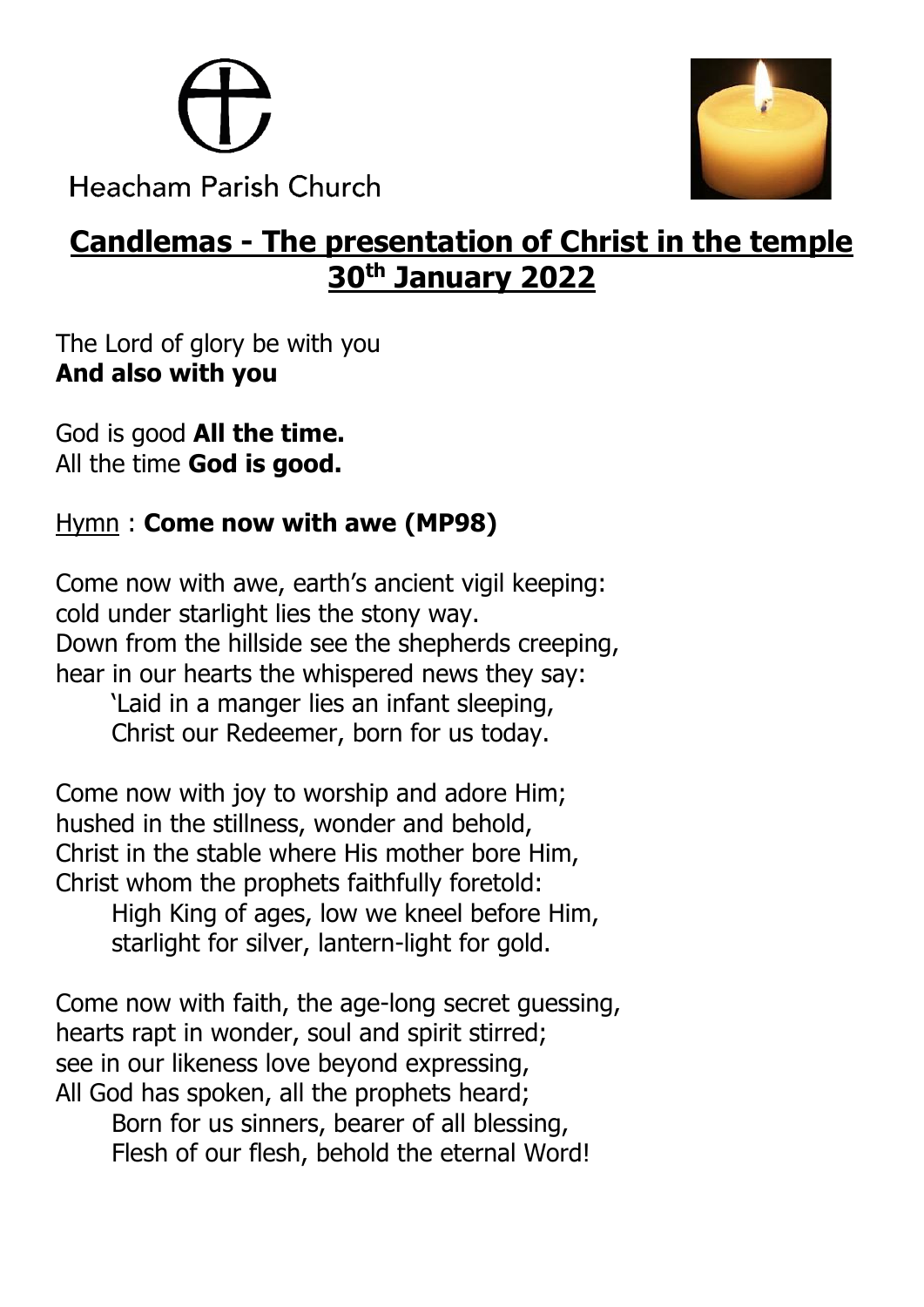



# **Candlemas - The presentation of Christ in the temple 30th January 2022**

The Lord of glory be with you **And also with you** 

God is good **All the time.** All the time **God is good.** 

# Hymn : **Come now with awe (MP98)**

Come now with awe, earth's ancient vigil keeping: cold under starlight lies the stony way. Down from the hillside see the shepherds creeping, hear in our hearts the whispered news they say: 'Laid in a manger lies an infant sleeping, Christ our Redeemer, born for us today.

Come now with joy to worship and adore Him; hushed in the stillness, wonder and behold, Christ in the stable where His mother bore Him, Christ whom the prophets faithfully foretold: High King of ages, low we kneel before Him, starlight for silver, lantern-light for gold.

Come now with faith, the age-long secret guessing, hearts rapt in wonder, soul and spirit stirred; see in our likeness love beyond expressing, All God has spoken, all the prophets heard; Born for us sinners, bearer of all blessing, Flesh of our flesh, behold the eternal Word!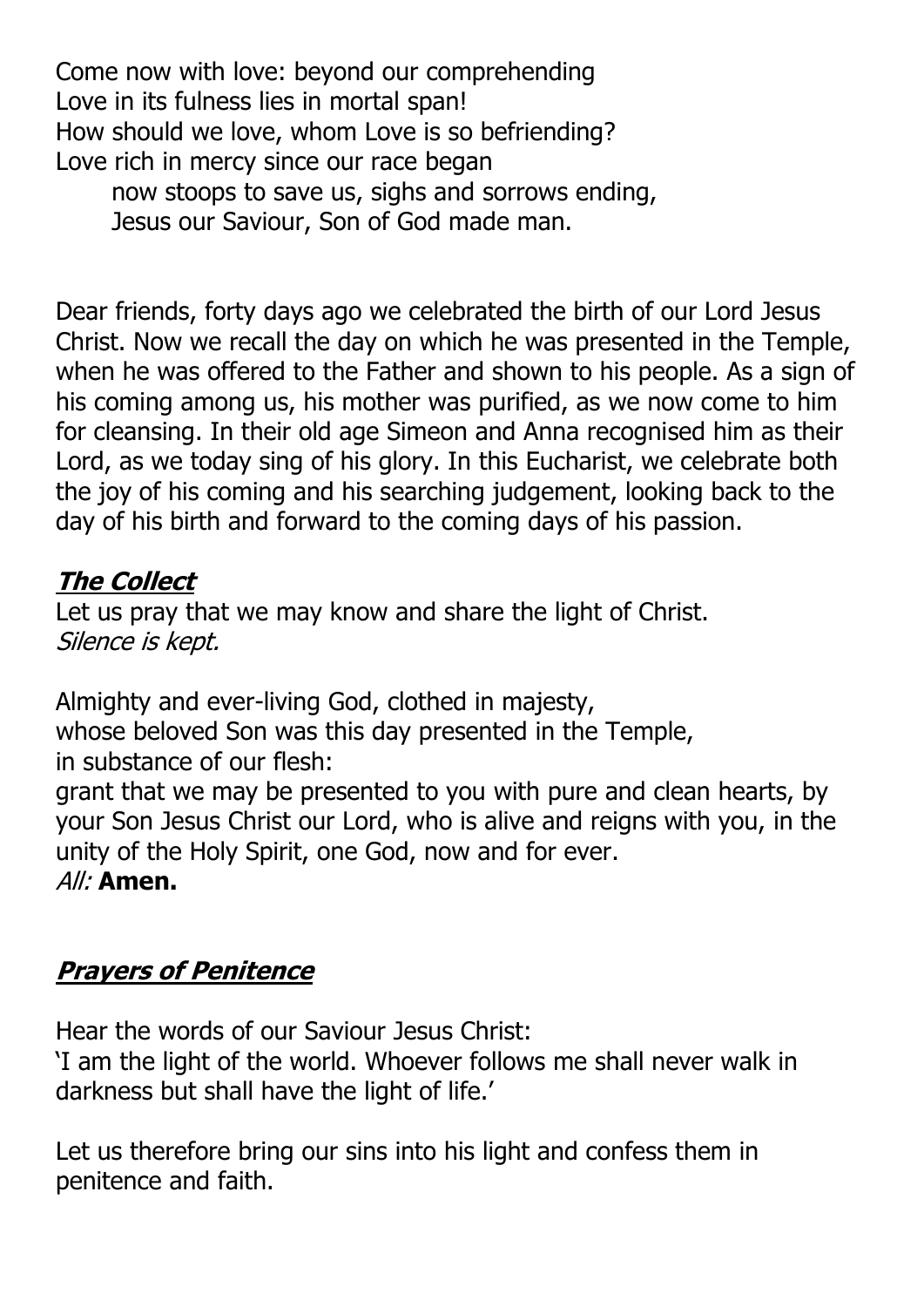Come now with love: beyond our comprehending Love in its fulness lies in mortal span! How should we love, whom Love is so befriending? Love rich in mercy since our race began now stoops to save us, sighs and sorrows ending, Jesus our Saviour, Son of God made man.

Dear friends, forty days ago we celebrated the birth of our Lord Jesus Christ. Now we recall the day on which he was presented in the Temple, when he was offered to the Father and shown to his people. As a sign of his coming among us, his mother was purified, as we now come to him for cleansing. In their old age Simeon and Anna recognised him as their Lord, as we today sing of his glory. In this Eucharist, we celebrate both the joy of his coming and his searching judgement, looking back to the day of his birth and forward to the coming days of his passion.

#### **The Collect**

Let us pray that we may know and share the light of Christ. Silence is kept.

Almighty and ever-living God, clothed in majesty, whose beloved Son was this day presented in the Temple, in substance of our flesh: grant that we may be presented to you with pure and clean hearts, by your Son Jesus Christ our Lord, who is alive and reigns with you, in the unity of the Holy Spirit, one God, now and for ever. All: **Amen.**

# **Prayers of Penitence**

Hear the words of our Saviour Jesus Christ:

'I am the light of the world. Whoever follows me shall never walk in darkness but shall have the light of life.'

Let us therefore bring our sins into his light and confess them in penitence and faith.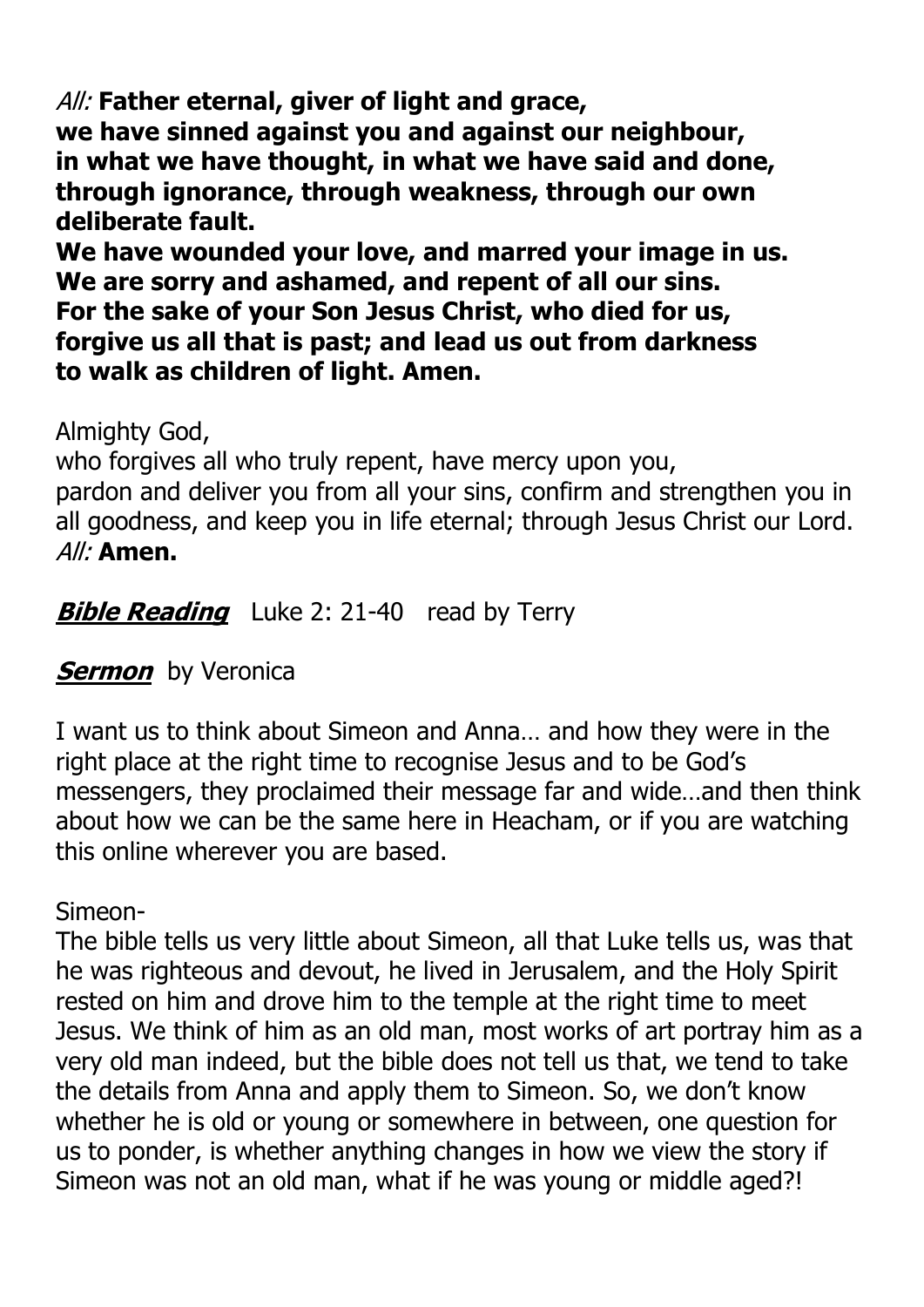All: **Father eternal, giver of light and grace,**

**we have sinned against you and against our neighbour, in what we have thought, in what we have said and done, through ignorance, through weakness, through our own deliberate fault.**

**We have wounded your love, and marred your image in us. We are sorry and ashamed, and repent of all our sins. For the sake of your Son Jesus Christ, who died for us, forgive us all that is past; and lead us out from darkness to walk as children of light. Amen.**

Almighty God,

who forgives all who truly repent, have mercy upon you, pardon and deliver you from all your sins, confirm and strengthen you in all goodness, and keep you in life eternal; through Jesus Christ our Lord. All: **Amen.**

**Bible Reading** Luke 2: 21-40 read by Terry

**Sermon** by Veronica

I want us to think about Simeon and Anna… and how they were in the right place at the right time to recognise Jesus and to be God's messengers, they proclaimed their message far and wide…and then think about how we can be the same here in Heacham, or if you are watching this online wherever you are based.

Simeon-

The bible tells us very little about Simeon, all that Luke tells us, was that he was righteous and devout, he lived in Jerusalem, and the Holy Spirit rested on him and drove him to the temple at the right time to meet Jesus. We think of him as an old man, most works of art portray him as a very old man indeed, but the bible does not tell us that, we tend to take the details from Anna and apply them to Simeon. So, we don't know whether he is old or young or somewhere in between, one question for us to ponder, is whether anything changes in how we view the story if Simeon was not an old man, what if he was young or middle aged?!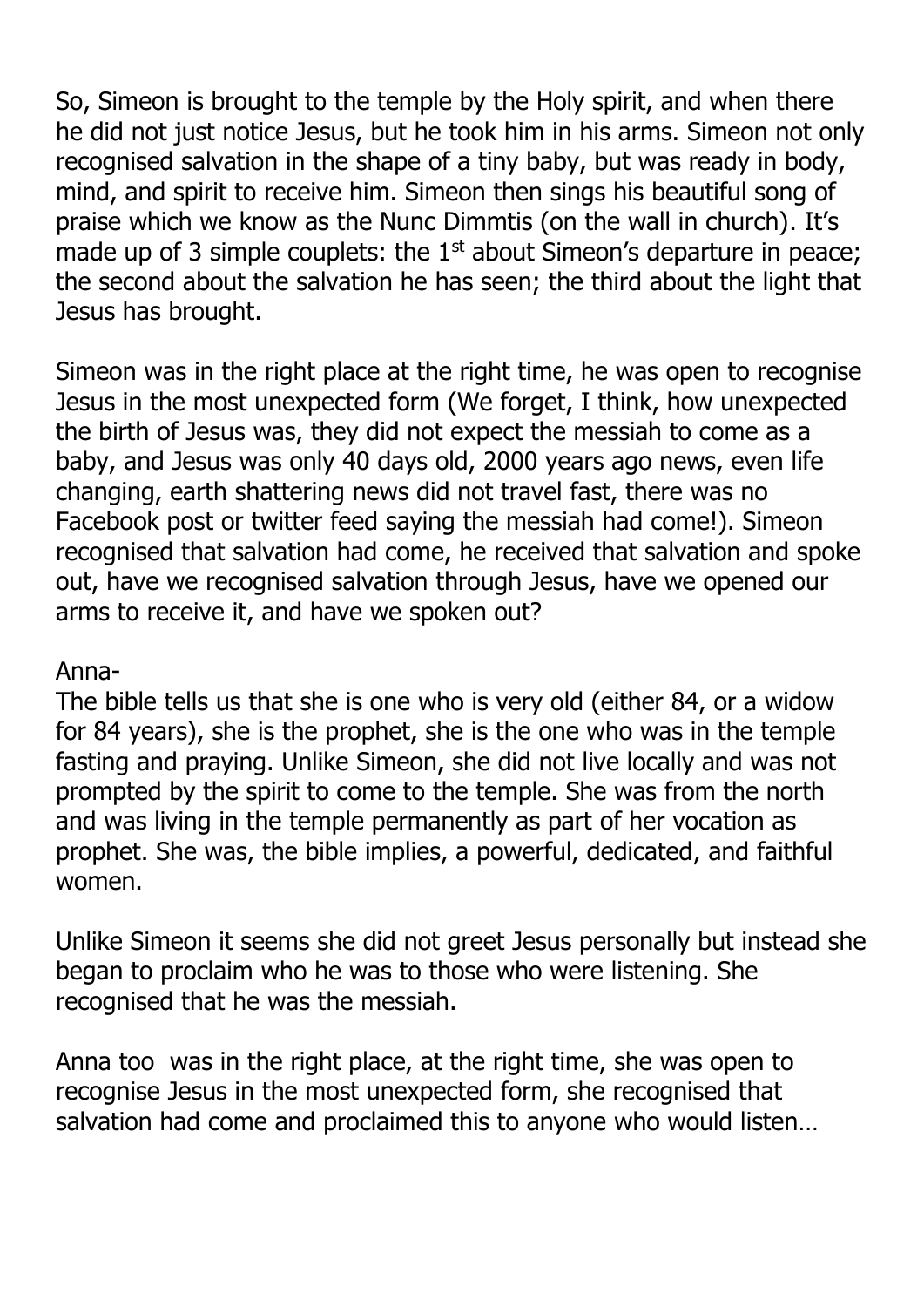So, Simeon is brought to the temple by the Holy spirit, and when there he did not just notice Jesus, but he took him in his arms. Simeon not only recognised salvation in the shape of a tiny baby, but was ready in body, mind, and spirit to receive him. Simeon then sings his beautiful song of praise which we know as the Nunc Dimmtis (on the wall in church). It's made up of 3 simple couplets: the  $1<sup>st</sup>$  about Simeon's departure in peace; the second about the salvation he has seen; the third about the light that Jesus has brought.

Simeon was in the right place at the right time, he was open to recognise Jesus in the most unexpected form (We forget, I think, how unexpected the birth of Jesus was, they did not expect the messiah to come as a baby, and Jesus was only 40 days old, 2000 years ago news, even life changing, earth shattering news did not travel fast, there was no Facebook post or twitter feed saying the messiah had come!). Simeon recognised that salvation had come, he received that salvation and spoke out, have we recognised salvation through Jesus, have we opened our arms to receive it, and have we spoken out?

Anna-

The bible tells us that she is one who is very old (either 84, or a widow for 84 years), she is the prophet, she is the one who was in the temple fasting and praying. Unlike Simeon, she did not live locally and was not prompted by the spirit to come to the temple. She was from the north and was living in the temple permanently as part of her vocation as prophet. She was, the bible implies, a powerful, dedicated, and faithful women.

Unlike Simeon it seems she did not greet Jesus personally but instead she began to proclaim who he was to those who were listening. She recognised that he was the messiah.

Anna too was in the right place, at the right time, she was open to recognise Jesus in the most unexpected form, she recognised that salvation had come and proclaimed this to anyone who would listen…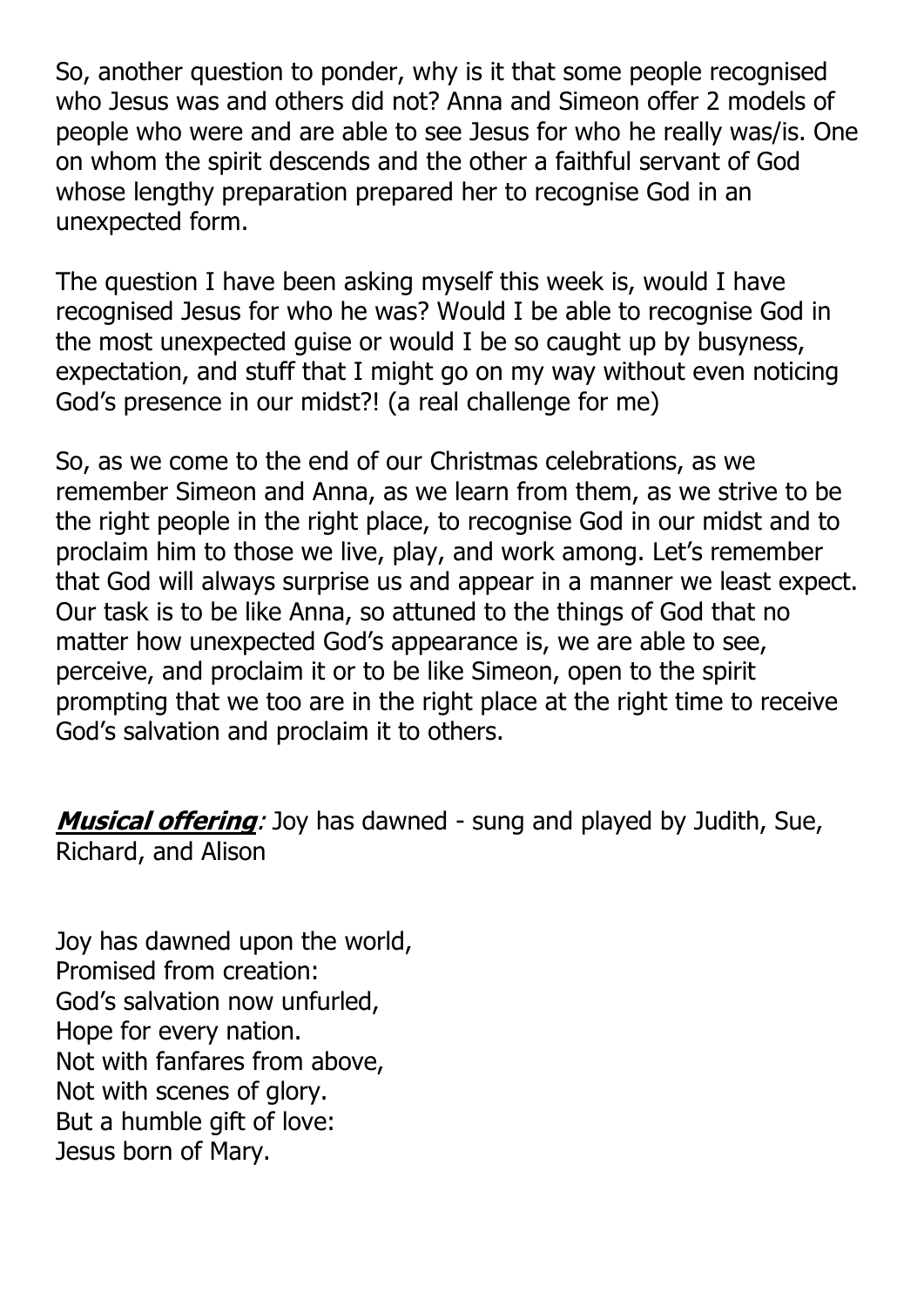So, another question to ponder, why is it that some people recognised who Jesus was and others did not? Anna and Simeon offer 2 models of people who were and are able to see Jesus for who he really was/is. One on whom the spirit descends and the other a faithful servant of God whose lengthy preparation prepared her to recognise God in an unexpected form.

The question I have been asking myself this week is, would I have recognised Jesus for who he was? Would I be able to recognise God in the most unexpected guise or would I be so caught up by busyness, expectation, and stuff that I might go on my way without even noticing God's presence in our midst?! (a real challenge for me)

So, as we come to the end of our Christmas celebrations, as we remember Simeon and Anna, as we learn from them, as we strive to be the right people in the right place, to recognise God in our midst and to proclaim him to those we live, play, and work among. Let's remember that God will always surprise us and appear in a manner we least expect. Our task is to be like Anna, so attuned to the things of God that no matter how unexpected God's appearance is, we are able to see, perceive, and proclaim it or to be like Simeon, open to the spirit prompting that we too are in the right place at the right time to receive God's salvation and proclaim it to others.

**Musical offering**: Joy has dawned - sung and played by Judith, Sue, Richard, and Alison

Joy has dawned upon the world, Promised from creation: God's salvation now unfurled, Hope for every nation. Not with fanfares from above, Not with scenes of glory. But a humble gift of love: Jesus born of Mary.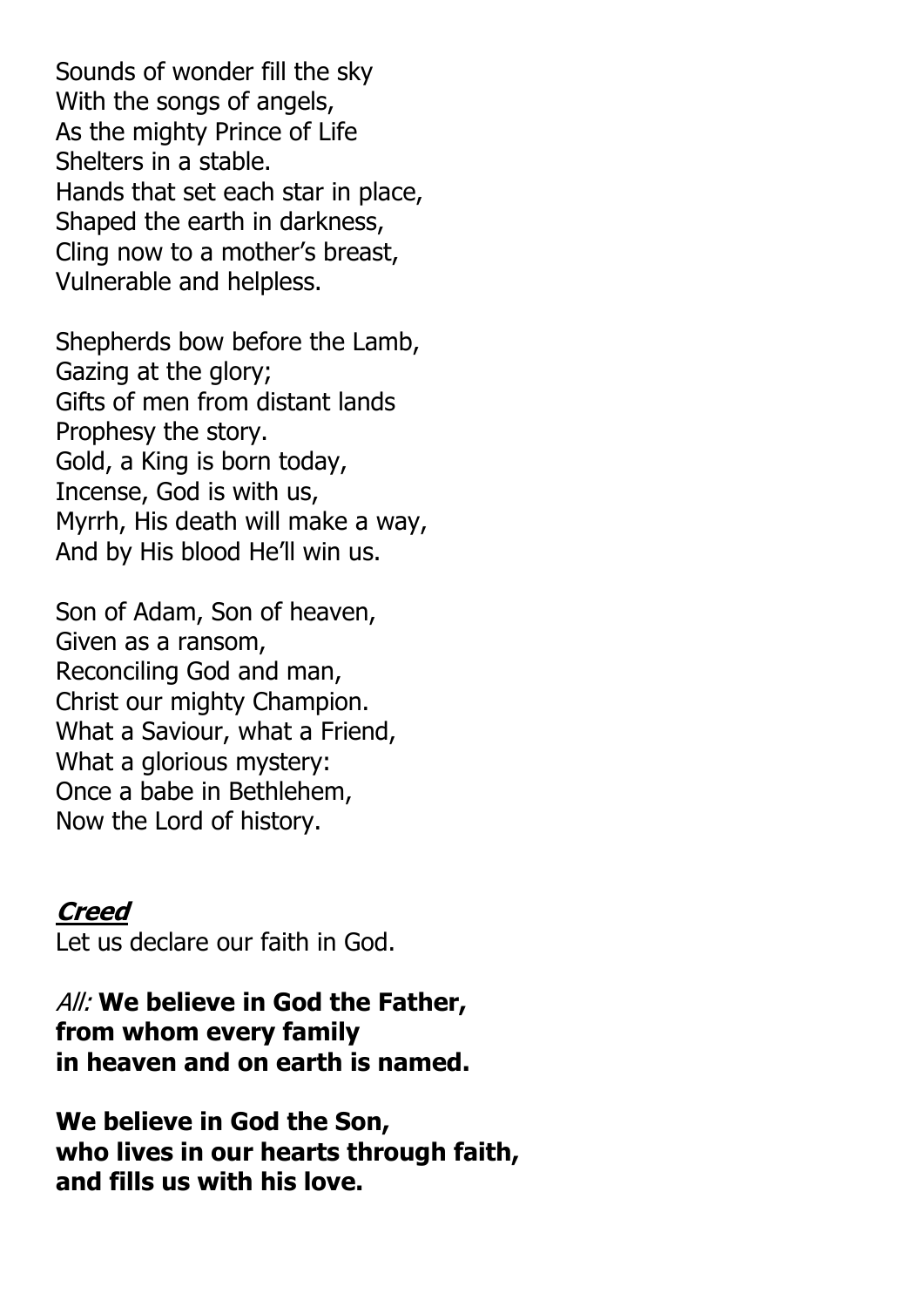Sounds of wonder fill the sky With the songs of angels, As the mighty Prince of Life Shelters in a stable. Hands that set each star in place, Shaped the earth in darkness, Cling now to a mother's breast, Vulnerable and helpless.

Shepherds bow before the Lamb, Gazing at the glory; Gifts of men from distant lands Prophesy the story. Gold, a King is born today, Incense, God is with us, Myrrh, His death will make a way, And by His blood He'll win us.

Son of Adam, Son of heaven, Given as a ransom, Reconciling God and man, Christ our mighty Champion. What a Saviour, what a Friend, What a glorious mystery: Once a babe in Bethlehem, Now the Lord of history.

#### **Creed**

Let us declare our faith in God.

All: **We believe in God the Father, from whom every family in heaven and on earth is named.**

**We believe in God the Son, who lives in our hearts through faith, and fills us with his love.**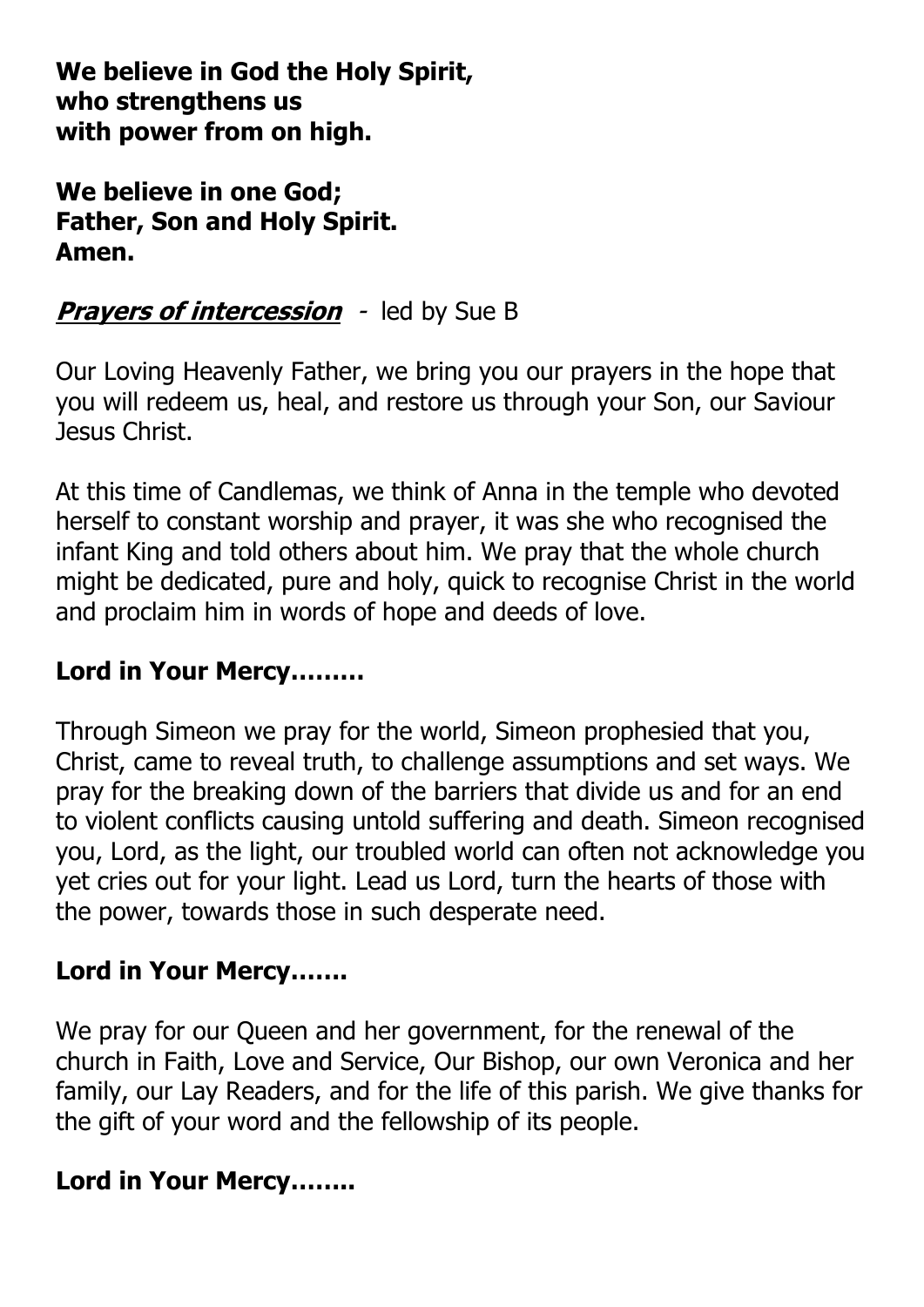**We believe in God the Holy Spirit, who strengthens us with power from on high.**

**We believe in one God; Father, Son and Holy Spirit. Amen.**

## **Prayers of intercession** - led by Sue B

Our Loving Heavenly Father, we bring you our prayers in the hope that you will redeem us, heal, and restore us through your Son, our Saviour Jesus Christ.

At this time of Candlemas, we think of Anna in the temple who devoted herself to constant worship and prayer, it was she who recognised the infant King and told others about him. We pray that the whole church might be dedicated, pure and holy, quick to recognise Christ in the world and proclaim him in words of hope and deeds of love.

### **Lord in Your Mercy………**

Through Simeon we pray for the world, Simeon prophesied that you, Christ, came to reveal truth, to challenge assumptions and set ways. We pray for the breaking down of the barriers that divide us and for an end to violent conflicts causing untold suffering and death. Simeon recognised you, Lord, as the light, our troubled world can often not acknowledge you yet cries out for your light. Lead us Lord, turn the hearts of those with the power, towards those in such desperate need.

# **Lord in Your Mercy…….**

We pray for our Queen and her government, for the renewal of the church in Faith, Love and Service, Our Bishop, our own Veronica and her family, our Lay Readers, and for the life of this parish. We give thanks for the gift of your word and the fellowship of its people.

### **Lord in Your Mercy……..**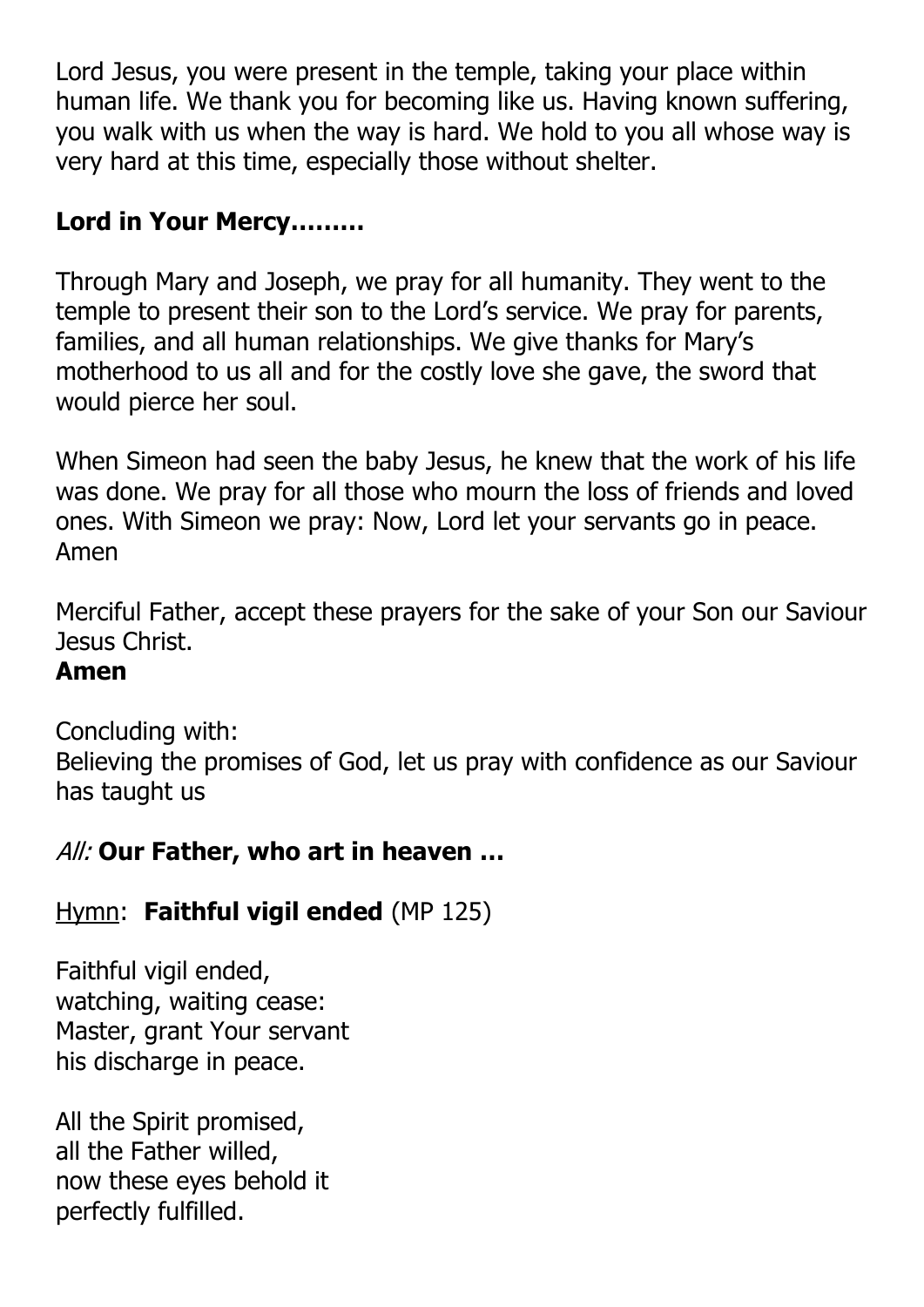Lord Jesus, you were present in the temple, taking your place within human life. We thank you for becoming like us. Having known suffering, you walk with us when the way is hard. We hold to you all whose way is very hard at this time, especially those without shelter.

# **Lord in Your Mercy………**

Through Mary and Joseph, we pray for all humanity. They went to the temple to present their son to the Lord's service. We pray for parents, families, and all human relationships. We give thanks for Mary's motherhood to us all and for the costly love she gave, the sword that would pierce her soul.

When Simeon had seen the baby Jesus, he knew that the work of his life was done. We pray for all those who mourn the loss of friends and loved ones. With Simeon we pray: Now, Lord let your servants go in peace. Amen

Merciful Father, accept these prayers for the sake of your Son our Saviour Jesus Christ.

### **Amen**

Concluding with:

Believing the promises of God, let us pray with confidence as our Saviour has taught us

### All: **Our Father, who art in heaven …**

# Hymn: **Faithful vigil ended** (MP 125)

Faithful vigil ended, watching, waiting cease: Master, grant Your servant his discharge in peace.

All the Spirit promised, all the Father willed, now these eyes behold it perfectly fulfilled.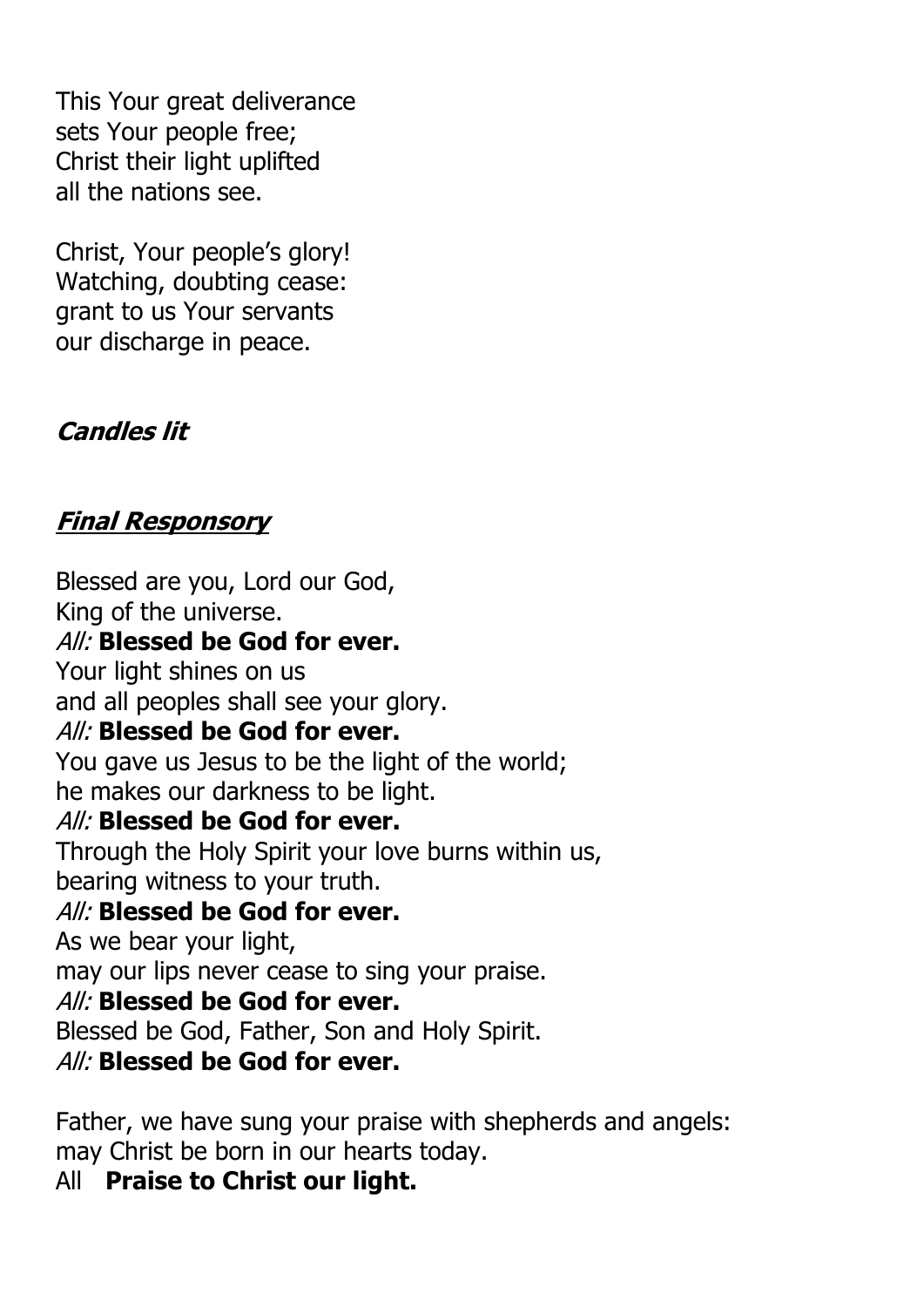This Your great deliverance sets Your people free; Christ their light uplifted all the nations see.

Christ, Your people's glory! Watching, doubting cease: grant to us Your servants our discharge in peace.

**Candles lit** 

# **Final Responsory**

Blessed are you, Lord our God, King of the universe. All: **Blessed be God for ever.** Your light shines on us and all peoples shall see your glory. All: **Blessed be God for ever.** You gave us Jesus to be the light of the world; he makes our darkness to be light. All: **Blessed be God for ever.** Through the Holy Spirit your love burns within us, bearing witness to your truth. All: **Blessed be God for ever.** As we bear your light, may our lips never cease to sing your praise. All: **Blessed be God for ever.** Blessed be God, Father, Son and Holy Spirit. All: **Blessed be God for ever.**

Father, we have sung your praise with shepherds and angels: may Christ be born in our hearts today.

All **Praise to Christ our light.**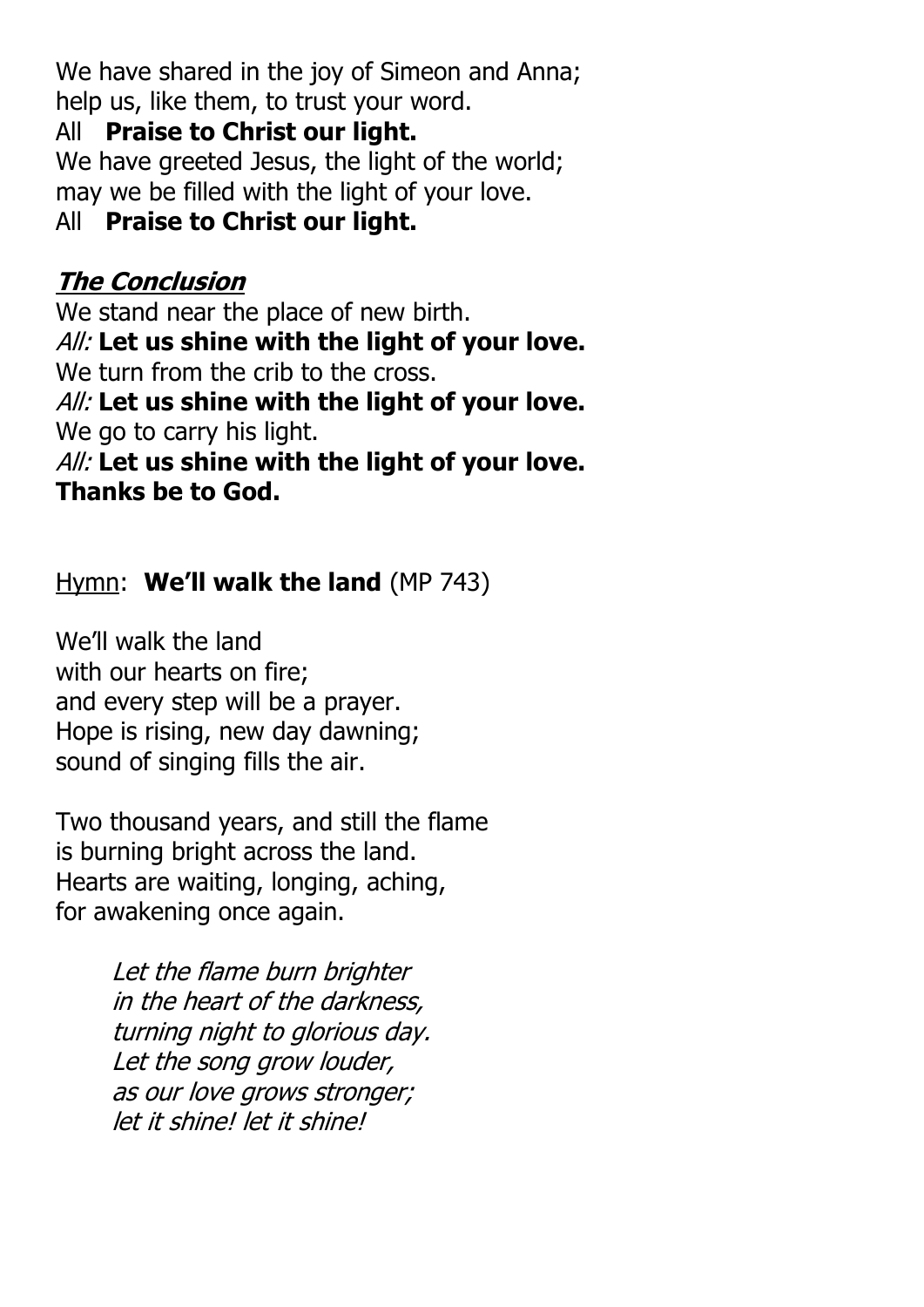We have shared in the joy of Simeon and Anna; help us, like them, to trust your word. All **Praise to Christ our light.** We have greeted Jesus, the light of the world; may we be filled with the light of your love. All **Praise to Christ our light.**

## **The Conclusion**

We stand near the place of new birth. All: **Let us shine with the light of your love.** We turn from the crib to the cross. All: **Let us shine with the light of your love.** We go to carry his light.

All: **Let us shine with the light of your love. Thanks be to God.**

#### Hymn: **We'll walk the land** (MP 743)

We'll walk the land with our hearts on fire; and every step will be a prayer. Hope is rising, new day dawning; sound of singing fills the air.

Two thousand years, and still the flame is burning bright across the land. Hearts are waiting, longing, aching, for awakening once again.

> Let the flame burn brighter in the heart of the darkness, turning night to glorious day. Let the song grow louder, as our love grows stronger; let it shine! let it shine!